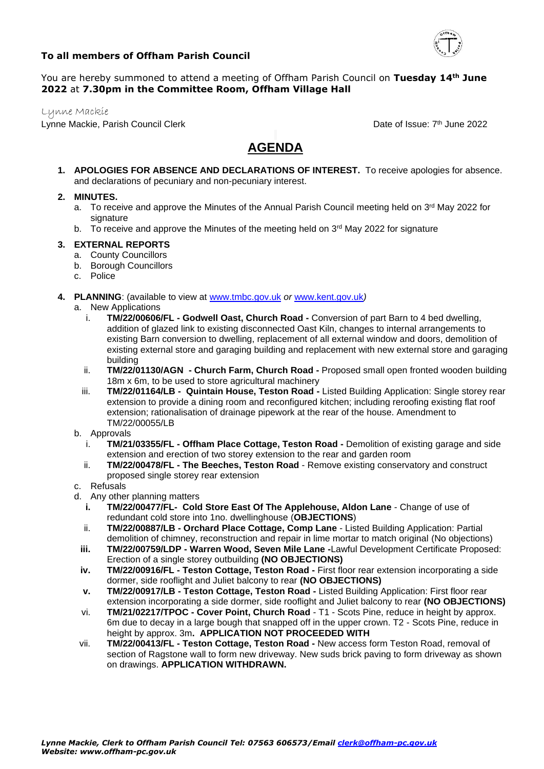

## **To all members of Offham Parish Council**

## You are hereby summoned to attend a meeting of Offham Parish Council on **Tuesday 14th June 2022** at **7.30pm in the Committee Room, Offham Village Hall**

Lynne Mackie

Lynne Mackie, Parish Council Clerk

Date of Issue: 7<sup>th</sup> June 2022

# **AGENDA**

**1. APOLOGIES FOR ABSENCE AND DECLARATIONS OF INTEREST.** To receive apologies for absence. and declarations of pecuniary and non-pecuniary interest.

## **2. MINUTES.**

- a. To receive and approve the Minutes of the Annual Parish Council meeting held on 3<sup>rd</sup> May 2022 for signature
- b. To receive and approve the Minutes of the meeting held on 3<sup>rd</sup> May 2022 for signature

## **3. EXTERNAL REPORTS**

- a. County Councillors
- b. Borough Councillors
- c. Police
- **4. PLANNING**: (available to view at [www.tmbc.gov.uk](http://www.tmbc.gov.uk/) *or* [www.kent.gov.uk](http://www.kcc.gov.uk/)*)*
	- a. New Applications
		- i. **TM/22/00606/FL - Godwell Oast, Church Road -** Conversion of part Barn to 4 bed dwelling, addition of glazed link to existing disconnected Oast Kiln, changes to internal arrangements to existing Barn conversion to dwelling, replacement of all external window and doors, demolition of existing external store and garaging building and replacement with new external store and garaging building
		- ii. **TM/22/01130/AGN - Church Farm, Church Road -** Proposed small open fronted wooden building 18m x 6m, to be used to store agricultural machinery
		- iii. **TM/22/01164/LB - Quintain House, Teston Road -** Listed Building Application: Single storey rear extension to provide a dining room and reconfigured kitchen; including reroofing existing flat roof extension; rationalisation of drainage pipework at the rear of the house. Amendment to TM/22/00055/LB
	- b. Approvals
		- i. **TM/21/03355/FL - Offham Place Cottage, Teston Road -** Demolition of existing garage and side extension and erection of two storey extension to the rear and garden room
		- ii. **TM/22/00478/FL - The Beeches, Teston Road** Remove existing conservatory and construct proposed single storey rear extension
	- c. Refusals
	- d. Any other planning matters
		- **i. TM/22/00477/FL- Cold Store East Of The Applehouse, Aldon Lane** Change of use of redundant cold store into 1no. dwellinghouse (**OBJECTIONS**)
		- ii. **TM/22/00887/LB - Orchard Place Cottage, Comp Lane** Listed Building Application: Partial demolition of chimney, reconstruction and repair in lime mortar to match original (No objections)
		- **iii. TM/22/00759/LDP - Warren Wood, Seven Mile Lane -**Lawful Development Certificate Proposed: Erection of a single storey outbuilding **(NO OBJECTIONS)**
		- **iv. TM/22/00916/FL - Teston Cottage, Teston Road -** First floor rear extension incorporating a side dormer, side rooflight and Juliet balcony to rear **(NO OBJECTIONS)**
		- **v. TM/22/00917/LB - Teston Cottage, Teston Road -** Listed Building Application: First floor rear extension incorporating a side dormer, side rooflight and Juliet balcony to rear **(NO OBJECTIONS)**
		- vi. **TM/21/02217/TPOC - Cover Point, Church Road** T1 Scots Pine, reduce in height by approx. 6m due to decay in a large bough that snapped off in the upper crown. T2 - Scots Pine, reduce in height by approx. 3m**. APPLICATION NOT PROCEEDED WITH**
	- vii. **TM/22/00413/FL - Teston Cottage, Teston Road -** New access form Teston Road, removal of section of Ragstone wall to form new driveway. New suds brick paving to form driveway as shown on drawings. **APPLICATION WITHDRAWN.**